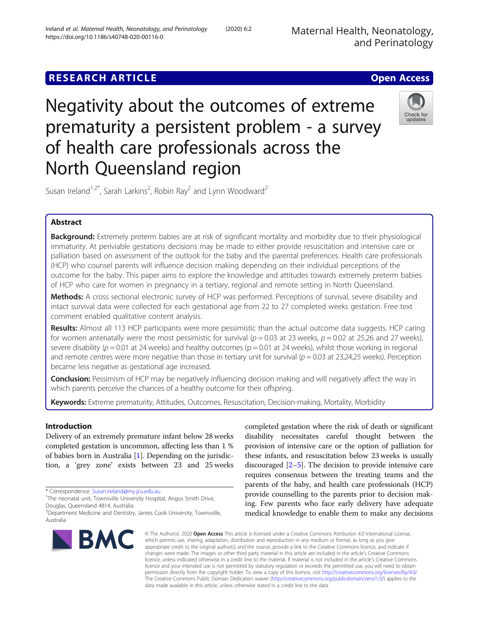## **RESEARCH ARTICLE Example 2014 12:30 The Contract of Contract ACCESS**

# Negativity about the outcomes of extreme prematurity a persistent problem - a survey of health care professionals across the North Queensland region



Susan Ireland<sup>1,2\*</sup>, Sarah Larkins<sup>2</sup>, Robin Ray<sup>2</sup> and Lynn Woodward<sup>2</sup>

## Abstract

Background: Extremely preterm babies are at risk of significant mortality and morbidity due to their physiological immaturity. At periviable gestations decisions may be made to either provide resuscitation and intensive care or palliation based on assessment of the outlook for the baby and the parental preferences. Health care professionals (HCP) who counsel parents will influence decision making depending on their individual perceptions of the outcome for the baby. This paper aims to explore the knowledge and attitudes towards extremely preterm babies of HCP who care for women in pregnancy in a tertiary, regional and remote setting in North Queensland.

Methods: A cross sectional electronic survey of HCP was performed. Perceptions of survival, severe disability and intact survival data were collected for each gestational age from 22 to 27 completed weeks gestation. Free text comment enabled qualitative content analysis.

Results: Almost all 113 HCP participants were more pessimistic than the actual outcome data suggests. HCP caring for women antenatally were the most pessimistic for survival ( $p = 0.03$  at 23 weeks,  $p = 0.02$  at 25,26 and 27 weeks), severe disability ( $p = 0.01$  at 24 weeks) and healthy outcomes ( $p = 0.01$  at 24 weeks), whilst those working in regional and remote centres were more negative than those in tertiary unit for survival ( $p = 0.03$  at 23,24,25 weeks). Perception became less negative as gestational age increased.

**Conclusion:** Pessimism of HCP may be negatively influencing decision making and will negatively affect the way in which parents perceive the chances of a healthy outcome for their offspring.

Keywords: Extreme prematurity, Attitudes, Outcomes, Resuscitation, Decision-making, Mortality, Morbidity

## Introduction

Delivery of an extremely premature infant below 28 weeks completed gestation is uncommon, affecting less than 1 % of babies born in Australia [[1](#page-8-0)]. Depending on the jurisdiction, a 'grey zone' exists between 23 and 25 weeks

<sup>2</sup> Department Medicine and Dentistry, James Cook University, Townsville, Australia



completed gestation where the risk of death or significant disability necessitates careful thought between the provision of intensive care or the option of palliation for these infants, and resuscitation below 23 weeks is usually discouraged [\[2](#page-8-0)–[5](#page-9-0)]. The decision to provide intensive care requires consensus between the treating teams and the parents of the baby, and health care professionals (HCP) provide counselling to the parents prior to decision making. Few parents who face early delivery have adequate medical knowledge to enable them to make any decisions

© The Author(s), 2020 **Open Access** This article is licensed under a Creative Commons Attribution 4.0 International License, which permits use, sharing, adaptation, distribution and reproduction in any medium or format, as long as you give appropriate credit to the original author(s) and the source, provide a link to the Creative Commons licence, and indicate if changes were made. The images or other third party material in this article are included in the article's Creative Commons licence, unless indicated otherwise in a credit line to the material. If material is not included in the article's Creative Commons licence and your intended use is not permitted by statutory regulation or exceeds the permitted use, you will need to obtain permission directly from the copyright holder. To view a copy of this licence, visit [http://creativecommons.org/licenses/by/4.0/.](http://creativecommons.org/licenses/by/4.0/) The Creative Commons Public Domain Dedication waiver [\(http://creativecommons.org/publicdomain/zero/1.0/](http://creativecommons.org/publicdomain/zero/1.0/)) applies to the data made available in this article, unless otherwise stated in a credit line to the data.

<sup>\*</sup> Correspondence: [Susan.ireland@my.jcu.edu.au](mailto:Susan.ireland@my.jcu.edu.au) <sup>1</sup>

<sup>&</sup>lt;sup>1</sup>The neonatal unit, Townsville University Hospital, Angus Smith Drive, Douglas, Queensland 4814, Australia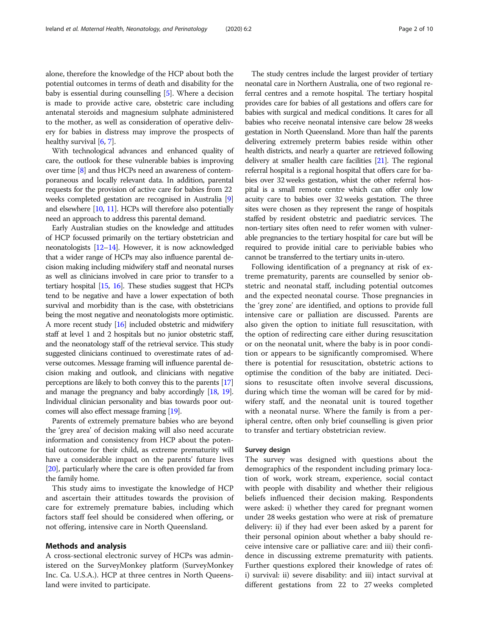alone, therefore the knowledge of the HCP about both the potential outcomes in terms of death and disability for the baby is essential during counselling [\[5](#page-9-0)]. Where a decision is made to provide active care, obstetric care including antenatal steroids and magnesium sulphate administered to the mother, as well as consideration of operative delivery for babies in distress may improve the prospects of healthy survival [[6](#page-9-0), [7\]](#page-9-0).

With technological advances and enhanced quality of care, the outlook for these vulnerable babies is improving over time [\[8](#page-9-0)] and thus HCPs need an awareness of contemporaneous and locally relevant data. In addition, parental requests for the provision of active care for babies from 22 weeks completed gestation are recognised in Australia [[9](#page-9-0)] and elsewhere [\[10,](#page-9-0) [11](#page-9-0)]. HCPs will therefore also potentially need an approach to address this parental demand.

Early Australian studies on the knowledge and attitudes of HCP focussed primarily on the tertiary obstetrician and neonatologists [[12](#page-9-0)–[14\]](#page-9-0). However, it is now acknowledged that a wider range of HCPs may also influence parental decision making including midwifery staff and neonatal nurses as well as clinicians involved in care prior to transfer to a tertiary hospital [\[15,](#page-9-0) [16\]](#page-9-0). These studies suggest that HCPs tend to be negative and have a lower expectation of both survival and morbidity than is the case, with obstetricians being the most negative and neonatologists more optimistic. A more recent study [\[16](#page-9-0)] included obstetric and midwifery staff at level 1 and 2 hospitals but no junior obstetric staff, and the neonatology staff of the retrieval service. This study suggested clinicians continued to overestimate rates of adverse outcomes. Message framing will influence parental decision making and outlook, and clinicians with negative perceptions are likely to both convey this to the parents [\[17](#page-9-0)] and manage the pregnancy and baby accordingly [\[18](#page-9-0), [19](#page-9-0)]. Individual clinician personality and bias towards poor outcomes will also effect message framing [[19](#page-9-0)].

Parents of extremely premature babies who are beyond the 'grey area' of decision making will also need accurate information and consistency from HCP about the potential outcome for their child, as extreme prematurity will have a considerable impact on the parents' future lives [[20](#page-9-0)], particularly where the care is often provided far from the family home.

This study aims to investigate the knowledge of HCP and ascertain their attitudes towards the provision of care for extremely premature babies, including which factors staff feel should be considered when offering, or not offering, intensive care in North Queensland.

## Methods and analysis

A cross-sectional electronic survey of HCPs was administered on the SurveyMonkey platform (SurveyMonkey Inc. Ca. U.S.A.). HCP at three centres in North Queensland were invited to participate.

The study centres include the largest provider of tertiary neonatal care in Northern Australia, one of two regional referral centres and a remote hospital. The tertiary hospital provides care for babies of all gestations and offers care for babies with surgical and medical conditions. It cares for all babies who receive neonatal intensive care below 28 weeks gestation in North Queensland. More than half the parents delivering extremely preterm babies reside within other health districts, and nearly a quarter are retrieved following delivery at smaller health care facilities [\[21](#page-9-0)]. The regional referral hospital is a regional hospital that offers care for babies over 32 weeks gestation, whist the other referral hospital is a small remote centre which can offer only low acuity care to babies over 32 weeks gestation. The three sites were chosen as they represent the range of hospitals staffed by resident obstetric and paediatric services. The non-tertiary sites often need to refer women with vulnerable pregnancies to the tertiary hospital for care but will be required to provide initial care to periviable babies who cannot be transferred to the tertiary units in-utero.

Following identification of a pregnancy at risk of extreme prematurity, parents are counselled by senior obstetric and neonatal staff, including potential outcomes and the expected neonatal course. Those pregnancies in the 'grey zone' are identified, and options to provide full intensive care or palliation are discussed. Parents are also given the option to initiate full resuscitation, with the option of redirecting care either during resuscitation or on the neonatal unit, where the baby is in poor condition or appears to be significantly compromised. Where there is potential for resuscitation, obstetric actions to optimise the condition of the baby are initiated. Decisions to resuscitate often involve several discussions, during which time the woman will be cared for by midwifery staff, and the neonatal unit is toured together with a neonatal nurse. Where the family is from a peripheral centre, often only brief counselling is given prior to transfer and tertiary obstetrician review.

## Survey design

The survey was designed with questions about the demographics of the respondent including primary location of work, work stream, experience, social contact with people with disability and whether their religious beliefs influenced their decision making. Respondents were asked: i) whether they cared for pregnant women under 28 weeks gestation who were at risk of premature delivery: ii) if they had ever been asked by a parent for their personal opinion about whether a baby should receive intensive care or palliative care: and iii) their confidence in discussing extreme prematurity with patients. Further questions explored their knowledge of rates of: i) survival: ii) severe disability: and iii) intact survival at different gestations from 22 to 27 weeks completed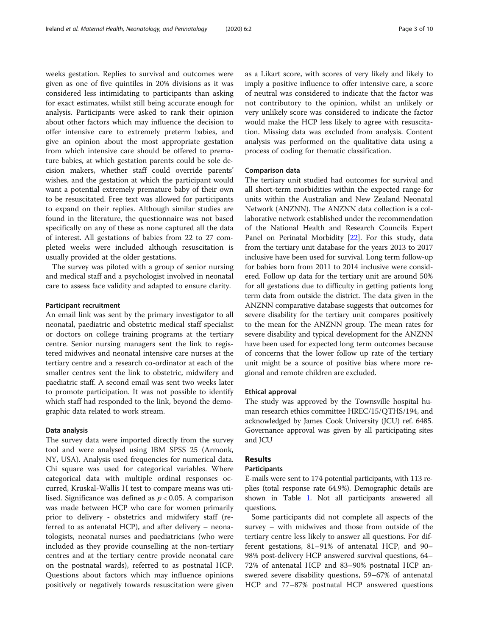weeks gestation. Replies to survival and outcomes were given as one of five quintiles in 20% divisions as it was considered less intimidating to participants than asking for exact estimates, whilst still being accurate enough for analysis. Participants were asked to rank their opinion about other factors which may influence the decision to offer intensive care to extremely preterm babies, and give an opinion about the most appropriate gestation from which intensive care should be offered to premature babies, at which gestation parents could be sole decision makers, whether staff could override parents' wishes, and the gestation at which the participant would want a potential extremely premature baby of their own to be resuscitated. Free text was allowed for participants to expand on their replies. Although similar studies are found in the literature, the questionnaire was not based specifically on any of these as none captured all the data of interest. All gestations of babies from 22 to 27 completed weeks were included although resuscitation is usually provided at the older gestations.

The survey was piloted with a group of senior nursing and medical staff and a psychologist involved in neonatal care to assess face validity and adapted to ensure clarity.

## Participant recruitment

An email link was sent by the primary investigator to all neonatal, paediatric and obstetric medical staff specialist or doctors on college training programs at the tertiary centre. Senior nursing managers sent the link to registered midwives and neonatal intensive care nurses at the tertiary centre and a research co-ordinator at each of the smaller centres sent the link to obstetric, midwifery and paediatric staff. A second email was sent two weeks later to promote participation. It was not possible to identify which staff had responded to the link, beyond the demographic data related to work stream.

## Data analysis

The survey data were imported directly from the survey tool and were analysed using IBM SPSS 25 (Armonk, NY, USA). Analysis used frequencies for numerical data. Chi square was used for categorical variables. Where categorical data with multiple ordinal responses occurred, Kruskal-Wallis H test to compare means was utilised. Significance was defined as  $p < 0.05$ . A comparison was made between HCP who care for women primarily prior to delivery - obstetrics and midwifery staff (referred to as antenatal HCP), and after delivery – neonatologists, neonatal nurses and paediatricians (who were included as they provide counselling at the non-tertiary centres and at the tertiary centre provide neonatal care on the postnatal wards), referred to as postnatal HCP. Questions about factors which may influence opinions positively or negatively towards resuscitation were given as a Likart score, with scores of very likely and likely to imply a positive influence to offer intensive care, a score of neutral was considered to indicate that the factor was not contributory to the opinion, whilst an unlikely or very unlikely score was considered to indicate the factor would make the HCP less likely to agree with resuscitation. Missing data was excluded from analysis. Content analysis was performed on the qualitative data using a process of coding for thematic classification.

## Comparison data

The tertiary unit studied had outcomes for survival and all short-term morbidities within the expected range for units within the Australian and New Zealand Neonatal Network (ANZNN). The ANZNN data collection is a collaborative network established under the recommendation of the National Health and Research Councils Expert Panel on Perinatal Morbidity [\[22\]](#page-9-0). For this study, data from the tertiary unit database for the years 2013 to 2017 inclusive have been used for survival. Long term follow-up for babies born from 2011 to 2014 inclusive were considered. Follow up data for the tertiary unit are around 50% for all gestations due to difficulty in getting patients long term data from outside the district. The data given in the ANZNN comparative database suggests that outcomes for severe disability for the tertiary unit compares positively to the mean for the ANZNN group. The mean rates for severe disability and typical development for the ANZNN have been used for expected long term outcomes because of concerns that the lower follow up rate of the tertiary unit might be a source of positive bias where more regional and remote children are excluded.

## Ethical approval

The study was approved by the Townsville hospital human research ethics committee HREC/15/QTHS/194, and acknowledged by James Cook University (JCU) ref. 6485. Governance approval was given by all participating sites and JCU

## Results

## Participants

E-mails were sent to 174 potential participants, with 113 replies (total response rate 64.9%). Demographic details are shown in Table [1.](#page-3-0) Not all participants answered all questions.

Some participants did not complete all aspects of the survey – with midwives and those from outside of the tertiary centre less likely to answer all questions. For different gestations, 81–91% of antenatal HCP, and 90– 98% post-delivery HCP answered survival questions, 64– 72% of antenatal HCP and 83–90% postnatal HCP answered severe disability questions, 59–67% of antenatal HCP and 77–87% postnatal HCP answered questions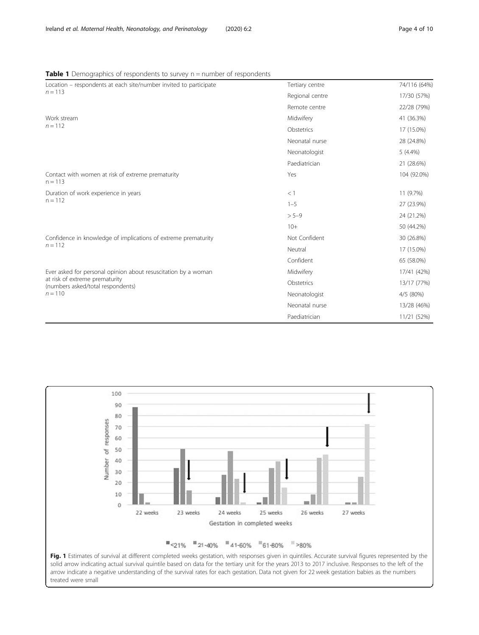## <span id="page-3-0"></span>**Table 1** Demographics of respondents to survey  $n =$  number of respondents

| Location - respondents at each site/number invited to participate   | Tertiary centre | 74/116 (64%) |
|---------------------------------------------------------------------|-----------------|--------------|
| $n = 113$                                                           | Regional centre | 17/30 (57%)  |
|                                                                     | Remote centre   | 22/28 (79%)  |
| Work stream                                                         | Midwifery       | 41 (36.3%)   |
| $n = 112$                                                           | Obstetrics      | 17 (15.0%)   |
|                                                                     | Neonatal nurse  | 28 (24.8%)   |
|                                                                     | Neonatologist   | $5(4.4\%)$   |
|                                                                     | Paediatrician   | 21 (28.6%)   |
| Contact with women at risk of extreme prematurity<br>$n = 113$      | Yes             | 104 (92.0%)  |
| Duration of work experience in years                                | <1              | 11 (9.7%)    |
| $n = 112$                                                           | $1 - 5$         | 27 (23.9%)   |
|                                                                     | $> 5 - 9$       | 24 (21.2%)   |
|                                                                     | $10+$           | 50 (44.2%)   |
| Confidence in knowledge of implications of extreme prematurity      | Not Confident   | 30 (26.8%)   |
| $n = 112$                                                           | Neutral         | 17 (15.0%)   |
|                                                                     | Confident       | 65 (58.0%)   |
| Ever asked for personal opinion about resuscitation by a woman      | Midwifery       | 17/41 (42%)  |
| at risk of extreme prematurity<br>(numbers asked/total respondents) | Obstetrics      | 13/17 (77%)  |
| $n = 110$                                                           | Neonatologist   | 4/5(80%)     |
|                                                                     | Neonatal nurse  | 13/28 (46%)  |
|                                                                     | Paediatrician   | 11/21 (52%)  |



treated were small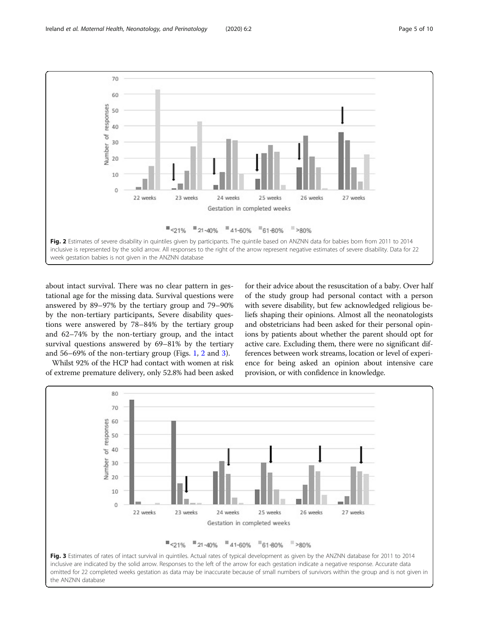

about intact survival. There was no clear pattern in gestational age for the missing data. Survival questions were answered by 89–97% by the tertiary group and 79–90% by the non-tertiary participants, Severe disability questions were answered by 78–84% by the tertiary group and 62–74% by the non-tertiary group, and the intact survival questions answered by 69–81% by the tertiary and 56–69% of the non-tertiary group (Figs. [1,](#page-3-0) 2 and 3).

Whilst 92% of the HCP had contact with women at risk of extreme premature delivery, only 52.8% had been asked for their advice about the resuscitation of a baby. Over half of the study group had personal contact with a person with severe disability, but few acknowledged religious beliefs shaping their opinions. Almost all the neonatologists and obstetricians had been asked for their personal opinions by patients about whether the parent should opt for active care. Excluding them, there were no significant differences between work streams, location or level of experience for being asked an opinion about intensive care provision, or with confidence in knowledge.

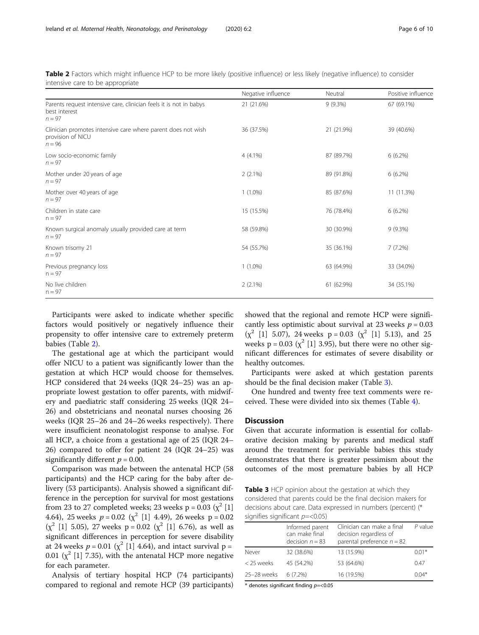| Table 2 Factors which might influence HCP to be more likely (positive influence) or less likely (negative influence) to consider |  |  |  |
|----------------------------------------------------------------------------------------------------------------------------------|--|--|--|
| intensive care to be appropriate                                                                                                 |  |  |  |

|                                                                                                 | Negative influence | Neutral    | Positive influence |
|-------------------------------------------------------------------------------------------------|--------------------|------------|--------------------|
| Parents request intensive care, clinician feels it is not in babys<br>best interest<br>$n = 97$ | 21 (21.6%)         | $9(9.3\%)$ | 67 (69.1%)         |
| Clinician promotes intensive care where parent does not wish<br>provision of NICU<br>$n = 96$   | 36 (37.5%)         | 21 (21.9%) | 39 (40.6%)         |
| Low socio-economic family<br>$n = 97$                                                           | $4(4.1\%)$         | 87 (89.7%) | $6(6.2\%)$         |
| Mother under 20 years of age<br>$n = 97$                                                        | $2(2.1\%)$         | 89 (91.8%) | $6(6.2\%)$         |
| Mother over 40 years of age<br>$n = 97$                                                         | $1(1.0\%)$         | 85 (87.6%) | 11 (11.3%)         |
| Children in state care<br>$n = 97$                                                              | 15 (15.5%)         | 76 (78.4%) | $6(6.2\%)$         |
| Known surgical anomaly usually provided care at term<br>$n = 97$                                | 58 (59.8%)         | 30 (30.9%) | $9(9.3\%)$         |
| Known trisomy 21<br>$n = 97$                                                                    | 54 (55.7%)         | 35 (36.1%) | 7(7.2%)            |
| Previous pregnancy loss<br>$n = 97$                                                             | $1(1.0\%)$         | 63 (64.9%) | 33 (34.0%)         |
| No live children<br>$n = 97$                                                                    | $2(2.1\%)$         | 61 (62.9%) | 34 (35.1%)         |

Participants were asked to indicate whether specific factors would positively or negatively influence their propensity to offer intensive care to extremely preterm babies (Table 2).

The gestational age at which the participant would offer NICU to a patient was significantly lower than the gestation at which HCP would choose for themselves. HCP considered that 24 weeks (IQR 24–25) was an appropriate lowest gestation to offer parents, with midwifery and paediatric staff considering 25 weeks (IQR 24– 26) and obstetricians and neonatal nurses choosing 26 weeks (IQR 25–26 and 24–26 weeks respectively). There were insufficient neonatologist response to analyse. For all HCP, a choice from a gestational age of 25 (IQR 24– 26) compared to offer for patient 24 (IQR 24–25) was significantly different  $p = 0.00$ .

Comparison was made between the antenatal HCP (58 participants) and the HCP caring for the baby after delivery (53 participants). Analysis showed a significant difference in the perception for survival for most gestations from 23 to 27 completed weeks; 23 weeks  $p = 0.03$  ( $\chi^2$  [1] 4.64), 25 weeks  $p = 0.02 \ (\chi^2 \ [1] \ 4.49)$ , 26 weeks  $p = 0.02$  $(\chi^2$  [1] 5.05), 27 weeks p = 0.02  $(\chi^2$  [1] 6.76), as well as significant differences in perception for severe disability at 24 weeks  $p = 0.01 \ (\chi^2 \ [1] \ 4.64)$ , and intact survival  $p =$ 0.01 ( $\chi^2$  [1] 7.35), with the antenatal HCP more negative for each parameter.

Analysis of tertiary hospital HCP (74 participants) compared to regional and remote HCP (39 participants)

showed that the regional and remote HCP were significantly less optimistic about survival at 23 weeks  $p = 0.03$  $(\chi^2$  [1] 5.07), 24 weeks p = 0.03  $(\chi^2$  [1] 5.13), and 25 weeks p = 0.03 ( $\chi^2$  [1] 3.95), but there were no other significant differences for estimates of severe disability or healthy outcomes.

Participants were asked at which gestation parents should be the final decision maker (Table 3).

One hundred and twenty free text comments were received. These were divided into six themes (Table [4](#page-6-0)).

## **Discussion**

Given that accurate information is essential for collaborative decision making by parents and medical staff around the treatment for periviable babies this study demonstrates that there is greater pessimism about the outcomes of the most premature babies by all HCP

Table 3 HCP opinion about the gestation at which they considered that parents could be the final decision makers for decisions about care. Data expressed in numbers (percent) (\* signifies significant  $p=<0.05$ )

|             | Informed parent<br>can make final<br>decision $n = 83$ | Clinician can make a final<br>decision regardless of<br>parental preference $n = 82$ | $P$ value |
|-------------|--------------------------------------------------------|--------------------------------------------------------------------------------------|-----------|
| Never       | 32 (38.6%)                                             | 13 (15.9%)                                                                           | $0.01*$   |
| < 25 weeks  | 45 (54.2%)                                             | 53 (64.6%)                                                                           | 047       |
| 25-28 weeks | 6(7.2%)                                                | 16 (19.5%)                                                                           | $0.04*$   |

 $*$  denotes significant finding  $p=<0.05$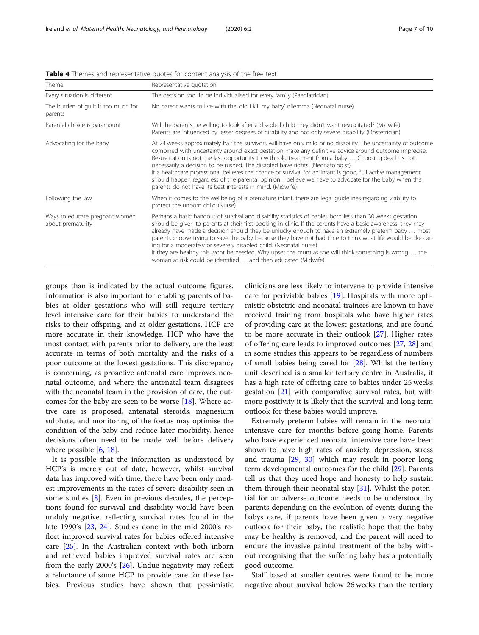<span id="page-6-0"></span>Table 4 Themes and representative quotes for content analysis of the free text

| Theme                                               | Representative quotation                                                                                                                                                                                                                                                                                                                                                                                                                                                                                                                                                                                                                                                                           |
|-----------------------------------------------------|----------------------------------------------------------------------------------------------------------------------------------------------------------------------------------------------------------------------------------------------------------------------------------------------------------------------------------------------------------------------------------------------------------------------------------------------------------------------------------------------------------------------------------------------------------------------------------------------------------------------------------------------------------------------------------------------------|
| Every situation is different                        | The decision should be individualised for every family (Paediatrician)                                                                                                                                                                                                                                                                                                                                                                                                                                                                                                                                                                                                                             |
| The burden of quilt is too much for<br>parents      | No parent wants to live with the 'did I kill my baby' dilemma (Neonatal nurse)                                                                                                                                                                                                                                                                                                                                                                                                                                                                                                                                                                                                                     |
| Parental choice is paramount                        | Will the parents be willing to look after a disabled child they didn't want resuscitated? (Midwife)<br>Parents are influenced by lesser degrees of disability and not only severe disability (Obstetrician)                                                                                                                                                                                                                                                                                                                                                                                                                                                                                        |
| Advocating for the baby                             | At 24 weeks approximately half the survivors will have only mild or no disability. The uncertainty of outcome<br>combined with uncertainty around exact gestation make any definitive advice around outcome imprecise.<br>Resuscitation is not the last opportunity to withhold treatment from a baby  Choosing death is not<br>necessarily a decision to be rushed. The disabled have rights. (Neonatologist)<br>If a healthcare professional believes the chance of survival for an infant is good, full active management<br>should happen regardless of the parental opinion. I believe we have to advocate for the baby when the<br>parents do not have its best interests in mind. (Midwife) |
| Following the law                                   | When it comes to the wellbeing of a premature infant, there are legal guidelines regarding viability to<br>protect the unborn child (Nurse)                                                                                                                                                                                                                                                                                                                                                                                                                                                                                                                                                        |
| Ways to educate pregnant women<br>about prematurity | Perhaps a basic handout of survival and disability statistics of babies born less than 30 weeks gestation<br>should be given to parents at their first booking-in clinic. If the parents have a basic awareness, they may<br>already have made a decision should they be unlucky enough to have an extremely preterm baby  most<br>parents choose trying to save the baby because they have not had time to think what life would be like car-<br>ing for a moderately or severely disabled child. (Neonatal nurse)<br>If they are healthy this wont be needed. Why upset the mum as she will think something is wrong  the<br>woman at risk could be identified  and then educated (Midwife)      |

groups than is indicated by the actual outcome figures. Information is also important for enabling parents of babies at older gestations who will still require tertiary level intensive care for their babies to understand the risks to their offspring, and at older gestations, HCP are more accurate in their knowledge. HCP who have the most contact with parents prior to delivery, are the least accurate in terms of both mortality and the risks of a poor outcome at the lowest gestations. This discrepancy is concerning, as proactive antenatal care improves neonatal outcome, and where the antenatal team disagrees with the neonatal team in the provision of care, the outcomes for the baby are seen to be worse [\[18\]](#page-9-0). Where active care is proposed, antenatal steroids, magnesium sulphate, and monitoring of the foetus may optimise the condition of the baby and reduce later morbidity, hence decisions often need to be made well before delivery where possible  $[6, 18]$  $[6, 18]$  $[6, 18]$  $[6, 18]$ .

It is possible that the information as understood by HCP's is merely out of date, however, whilst survival data has improved with time, there have been only modest improvements in the rates of severe disability seen in some studies [\[8](#page-9-0)]. Even in previous decades, the perceptions found for survival and disability would have been unduly negative, reflecting survival rates found in the late 1990's [[23,](#page-9-0) [24\]](#page-9-0). Studies done in the mid 2000's reflect improved survival rates for babies offered intensive care [[25\]](#page-9-0). In the Australian context with both inborn and retrieved babies improved survival rates are seen from the early 2000's [[26\]](#page-9-0). Undue negativity may reflect a reluctance of some HCP to provide care for these babies. Previous studies have shown that pessimistic clinicians are less likely to intervene to provide intensive care for periviable babies [[19\]](#page-9-0). Hospitals with more optimistic obstetric and neonatal trainees are known to have received training from hospitals who have higher rates of providing care at the lowest gestations, and are found to be more accurate in their outlook [[27\]](#page-9-0). Higher rates of offering care leads to improved outcomes [[27](#page-9-0), [28](#page-9-0)] and in some studies this appears to be regardless of numbers of small babies being cared for [\[28\]](#page-9-0). Whilst the tertiary unit described is a smaller tertiary centre in Australia, it has a high rate of offering care to babies under 25 weeks gestation [[21\]](#page-9-0) with comparative survival rates, but with more positivity it is likely that the survival and long term outlook for these babies would improve.

Extremely preterm babies will remain in the neonatal intensive care for months before going home. Parents who have experienced neonatal intensive care have been shown to have high rates of anxiety, depression, stress and trauma [[29,](#page-9-0) [30\]](#page-9-0) which may result in poorer long term developmental outcomes for the child [[29\]](#page-9-0). Parents tell us that they need hope and honesty to help sustain them through their neonatal stay  $[31]$  $[31]$ . Whilst the potential for an adverse outcome needs to be understood by parents depending on the evolution of events during the babys care, if parents have been given a very negative outlook for their baby, the realistic hope that the baby may be healthy is removed, and the parent will need to endure the invasive painful treatment of the baby without recognising that the suffering baby has a potentially good outcome.

Staff based at smaller centres were found to be more negative about survival below 26 weeks than the tertiary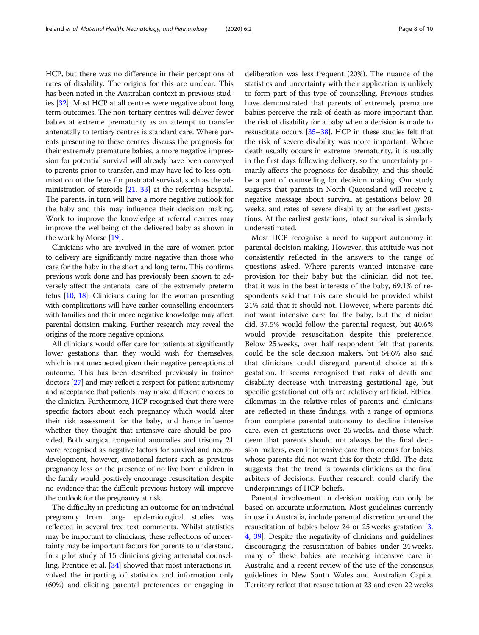HCP, but there was no difference in their perceptions of rates of disability. The origins for this are unclear. This has been noted in the Australian context in previous studies [\[32\]](#page-9-0). Most HCP at all centres were negative about long term outcomes. The non-tertiary centres will deliver fewer babies at extreme prematurity as an attempt to transfer antenatally to tertiary centres is standard care. Where parents presenting to these centres discuss the prognosis for their extremely premature babies, a more negative impression for potential survival will already have been conveyed to parents prior to transfer, and may have led to less optimisation of the fetus for postnatal survival, such as the administration of steroids [\[21,](#page-9-0) [33](#page-9-0)] at the referring hospital. The parents, in turn will have a more negative outlook for the baby and this may influence their decision making. Work to improve the knowledge at referral centres may improve the wellbeing of the delivered baby as shown in the work by Morse [\[19\]](#page-9-0).

Clinicians who are involved in the care of women prior to delivery are significantly more negative than those who care for the baby in the short and long term. This confirms previous work done and has previously been shown to adversely affect the antenatal care of the extremely preterm fetus [\[10,](#page-9-0) [18\]](#page-9-0). Clinicians caring for the woman presenting with complications will have earlier counselling encounters with families and their more negative knowledge may affect parental decision making. Further research may reveal the origins of the more negative opinions.

All clinicians would offer care for patients at significantly lower gestations than they would wish for themselves, which is not unexpected given their negative perceptions of outcome. This has been described previously in trainee doctors [[27\]](#page-9-0) and may reflect a respect for patient autonomy and acceptance that patients may make different choices to the clinician. Furthermore, HCP recognised that there were specific factors about each pregnancy which would alter their risk assessment for the baby, and hence influence whether they thought that intensive care should be provided. Both surgical congenital anomalies and trisomy 21 were recognised as negative factors for survival and neurodevelopment, however, emotional factors such as previous pregnancy loss or the presence of no live born children in the family would positively encourage resuscitation despite no evidence that the difficult previous history will improve the outlook for the pregnancy at risk.

The difficulty in predicting an outcome for an individual pregnancy from large epidemiological studies was reflected in several free text comments. Whilst statistics may be important to clinicians, these reflections of uncertainty may be important factors for parents to understand. In a pilot study of 15 clinicians giving antenatal counselling, Prentice et al. [\[34\]](#page-9-0) showed that most interactions involved the imparting of statistics and information only (60%) and eliciting parental preferences or engaging in deliberation was less frequent (20%). The nuance of the statistics and uncertainty with their application is unlikely to form part of this type of counselling. Previous studies have demonstrated that parents of extremely premature babies perceive the risk of death as more important than the risk of disability for a baby when a decision is made to resuscitate occurs [\[35](#page-9-0)–[38](#page-9-0)]. HCP in these studies felt that the risk of severe disability was more important. Where death usually occurs in extreme prematurity, it is usually in the first days following delivery, so the uncertainty primarily affects the prognosis for disability, and this should be a part of counselling for decision making. Our study suggests that parents in North Queensland will receive a negative message about survival at gestations below 28 weeks, and rates of severe disability at the earliest gestations. At the earliest gestations, intact survival is similarly underestimated.

Most HCP recognise a need to support autonomy in parental decision making. However, this attitude was not consistently reflected in the answers to the range of questions asked. Where parents wanted intensive care provision for their baby but the clinician did not feel that it was in the best interests of the baby, 69.1% of respondents said that this care should be provided whilst 21% said that it should not. However, where parents did not want intensive care for the baby, but the clinician did, 37.5% would follow the parental request, but 40.6% would provide resuscitation despite this preference. Below 25 weeks, over half respondent felt that parents could be the sole decision makers, but 64.6% also said that clinicians could disregard parental choice at this gestation. It seems recognised that risks of death and disability decrease with increasing gestational age, but specific gestational cut offs are relatively artificial. Ethical dilemmas in the relative roles of parents and clinicians are reflected in these findings, with a range of opinions from complete parental autonomy to decline intensive care, even at gestations over 25 weeks, and those which deem that parents should not always be the final decision makers, even if intensive care then occurs for babies whose parents did not want this for their child. The data suggests that the trend is towards clinicians as the final arbiters of decisions. Further research could clarify the underpinnings of HCP beliefs.

Parental involvement in decision making can only be based on accurate information. Most guidelines currently in use in Australia, include parental discretion around the resuscitation of babies below 24 or 25 weeks gestation [[3](#page-9-0), [4,](#page-9-0) [39](#page-9-0)]. Despite the negativity of clinicians and guidelines discouraging the resuscitation of babies under 24 weeks, many of these babies are receiving intensive care in Australia and a recent review of the use of the consensus guidelines in New South Wales and Australian Capital Territory reflect that resuscitation at 23 and even 22 weeks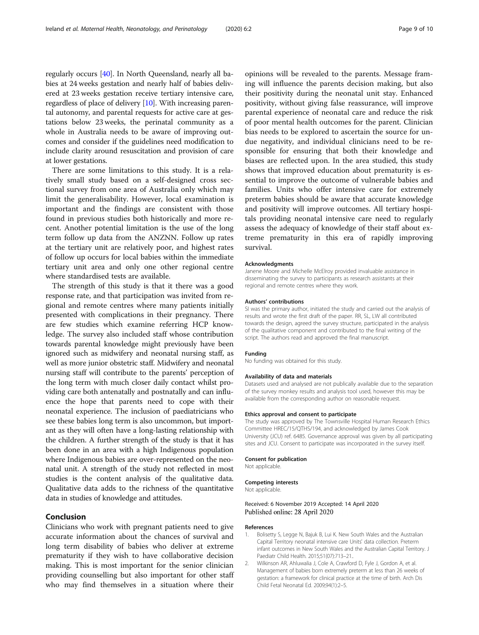<span id="page-8-0"></span>regularly occurs [\[40\]](#page-9-0). In North Queensland, nearly all babies at 24 weeks gestation and nearly half of babies delivered at 23 weeks gestation receive tertiary intensive care, regardless of place of delivery [\[10\]](#page-9-0). With increasing parental autonomy, and parental requests for active care at gestations below 23 weeks, the perinatal community as a whole in Australia needs to be aware of improving outcomes and consider if the guidelines need modification to include clarity around resuscitation and provision of care at lower gestations.

There are some limitations to this study. It is a relatively small study based on a self-designed cross sectional survey from one area of Australia only which may limit the generalisability. However, local examination is important and the findings are consistent with those found in previous studies both historically and more recent. Another potential limitation is the use of the long term follow up data from the ANZNN. Follow up rates at the tertiary unit are relatively poor, and highest rates of follow up occurs for local babies within the immediate tertiary unit area and only one other regional centre where standardised tests are available.

The strength of this study is that it there was a good response rate, and that participation was invited from regional and remote centres where many patients initially presented with complications in their pregnancy. There are few studies which examine referring HCP knowledge. The survey also included staff whose contribution towards parental knowledge might previously have been ignored such as midwifery and neonatal nursing staff, as well as more junior obstetric staff. Midwifery and neonatal nursing staff will contribute to the parents' perception of the long term with much closer daily contact whilst providing care both antenatally and postnatally and can influence the hope that parents need to cope with their neonatal experience. The inclusion of paediatricians who see these babies long term is also uncommon, but important as they will often have a long-lasting relationship with the children. A further strength of the study is that it has been done in an area with a high Indigenous population where Indigenous babies are over-represented on the neonatal unit. A strength of the study not reflected in most studies is the content analysis of the qualitative data. Qualitative data adds to the richness of the quantitative data in studies of knowledge and attitudes.

## Conclusion

Clinicians who work with pregnant patients need to give accurate information about the chances of survival and long term disability of babies who deliver at extreme prematurity if they wish to have collaborative decision making. This is most important for the senior clinician providing counselling but also important for other staff who may find themselves in a situation where their

opinions will be revealed to the parents. Message framing will influence the parents decision making, but also their positivity during the neonatal unit stay. Enhanced positivity, without giving false reassurance, will improve parental experience of neonatal care and reduce the risk of poor mental health outcomes for the parent. Clinician bias needs to be explored to ascertain the source for undue negativity, and individual clinicians need to be responsible for ensuring that both their knowledge and biases are reflected upon. In the area studied, this study shows that improved education about prematurity is essential to improve the outcome of vulnerable babies and families. Units who offer intensive care for extremely preterm babies should be aware that accurate knowledge and positivity will improve outcomes. All tertiary hospitals providing neonatal intensive care need to regularly assess the adequacy of knowledge of their staff about extreme prematurity in this era of rapidly improving survival.

#### Acknowledgments

Janene Moore and Michelle McElroy provided invaluable assistance in disseminating the survey to participants as research assistants at their regional and remote centres where they work.

#### Authors' contributions

SI was the primary author, initiated the study and carried out the analysis of results and wrote the first draft of the paper. RR, SL, LW all contributed towards the design, agreed the survey structure, participated in the analysis of the qualitative component and contributed to the final writing of the script. The authors read and approved the final manuscript.

## Funding

No funding was obtained for this study.

### Availability of data and materials

Datasets used and analysed are not publically available due to the separation of the survey monkey results and analysis tool used, however this may be available from the corresponding author on reasonable request.

### Ethics approval and consent to participate

The study was approved by The Townsville Hospital Human Research Ethics Committee HREC/15/QTHS/194, and acknowledged by James Cook University (JCU) ref. 6485. Governance approval was given by all participating sites and JCU. Consent to participate was incorporated in the survey itself.

### Consent for publication

Not applicable.

### Competing interests

Not applicable.

## Received: 6 November 2019 Accepted: 14 April 2020 Published online: 28 April 2020

## References

- 1. Bolisetty S, Legge N, Bajuk B, Lui K. New South Wales and the Australian Capital Territory neonatal intensive care Units' data collection. Preterm infant outcomes in New South Wales and the Australian Capital Territory. J Paediatr Child Health. 2015;51(07):713–21..
- 2. Wilkinson AR, Ahluwalia J, Cole A, Crawford D, Fyle J, Gordon A, et al. Management of babies born extremely preterm at less than 26 weeks of gestation: a framework for clinical practice at the time of birth. Arch Dis Child Fetal Neonatal Ed. 2009;94(1):2–5.